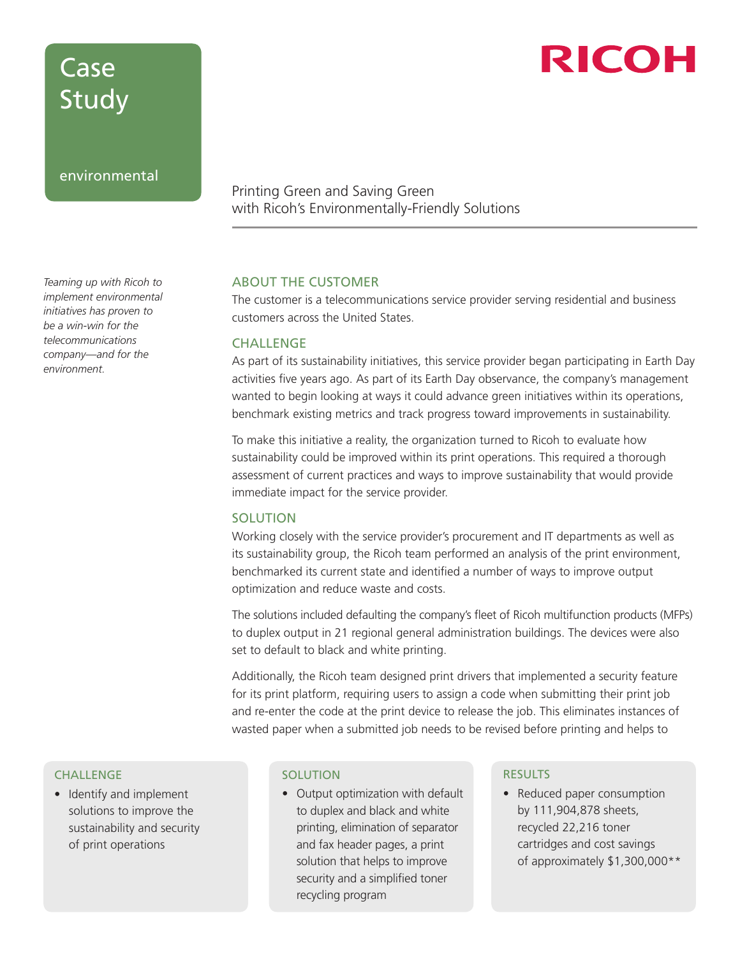## Case Study

#### environmental

*Teaming up with Ricoh to implement environmental initiatives has proven to be a win-win for the telecommunications company—and for the environment.*

### Printing Green and Saving Green with Ricoh's Environmentally-Friendly Solutions

#### ABOUT THE CUSTOMER

The customer is a telecommunications service provider serving residential and business customers across the United States.

#### **CHALLENGE**

As part of its sustainability initiatives, this service provider began participating in Earth Day activities five years ago. As part of its Earth Day observance, the company's management wanted to begin looking at ways it could advance green initiatives within its operations, benchmark existing metrics and track progress toward improvements in sustainability.

To make this initiative a reality, the organization turned to Ricoh to evaluate how sustainability could be improved within its print operations. This required a thorough assessment of current practices and ways to improve sustainability that would provide immediate impact for the service provider.

#### **SOLUTION**

Working closely with the service provider's procurement and IT departments as well as its sustainability group, the Ricoh team performed an analysis of the print environment, benchmarked its current state and identified a number of ways to improve output optimization and reduce waste and costs.

The solutions included defaulting the company's fleet of Ricoh multifunction products (MFPs) to duplex output in 21 regional general administration buildings. The devices were also set to default to black and white printing.

Additionally, the Ricoh team designed print drivers that implemented a security feature for its print platform, requiring users to assign a code when submitting their print job and re-enter the code at the print device to release the job. This eliminates instances of wasted paper when a submitted job needs to be revised before printing and helps to

#### **CHALLENGE**

• Identify and implement solutions to improve the sustainability and security of print operations

#### **SOLUTION**

• Output optimization with default to duplex and black and white printing, elimination of separator and fax header pages, a print solution that helps to improve security and a simplified toner recycling program

#### RESULTS

• Reduced paper consumption by 111,904,878 sheets, recycled 22,216 toner cartridges and cost savings of approximately \$1,300,000\*\*

# RICOH